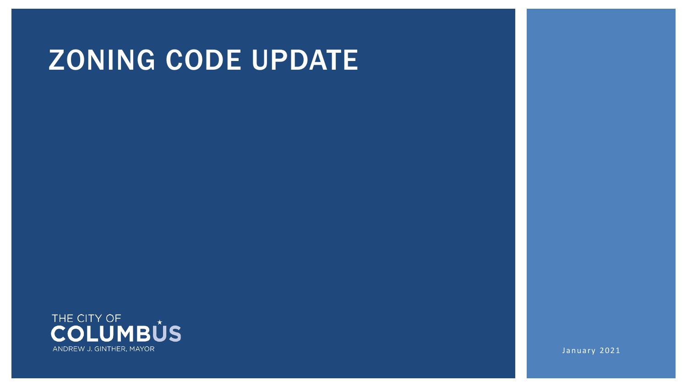# ZONING CODE UPDATE



January 2021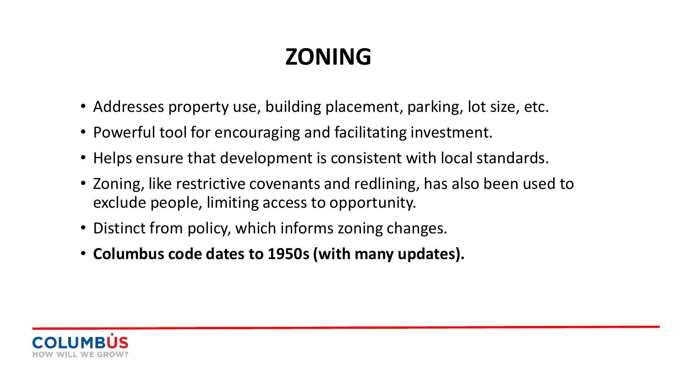# **ZONING**

- Addresses property use, building placement, parking, lot size, etc.
- Powerful tool for encouraging and facilitating investment.
- Helps ensure that development is consistent with local standards.
- Zoning, like restrictive covenants and redlining, has also been used to exclude people, limiting access to opportunity.
- Distinct from policy, which informs zoning changes.
- **Columbus code dates to 1950s (with many updates).**

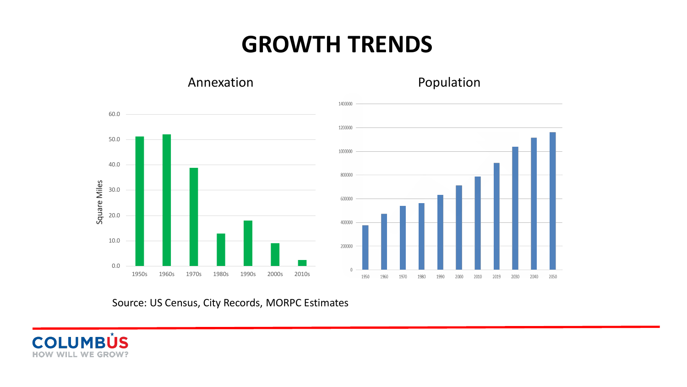#### **GROWTH TRENDS**



Annexation **Population** 

Source: US Census, City Records, MORPC Estimates

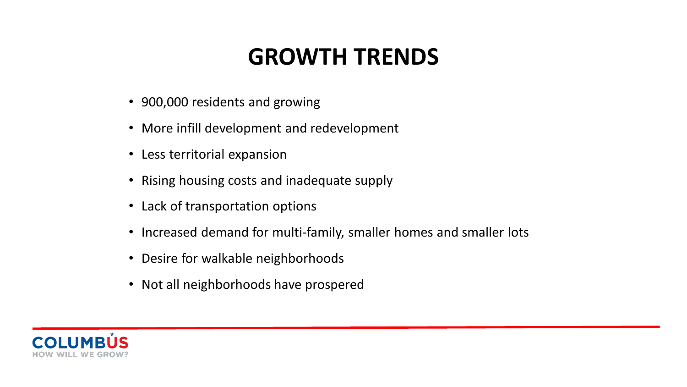### **GROWTH TRENDS**

- 900,000 residents and growing
- More infill development and redevelopment
- Less territorial expansion
- Rising housing costs and inadequate supply
- Lack of transportation options
- Increased demand for multi-family, smaller homes and smaller lots
- Desire for walkable neighborhoods
- Not all neighborhoods have prospered

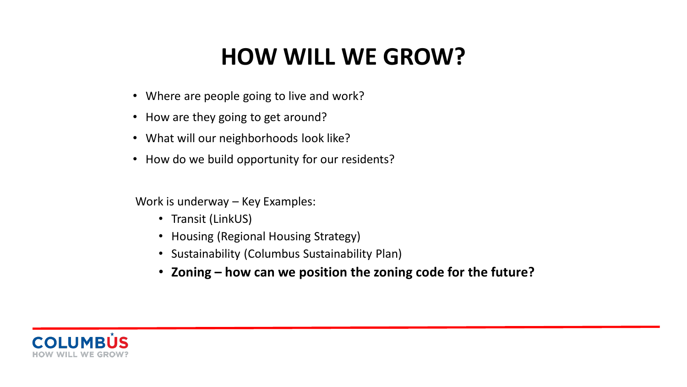### **HOW WILL WE GROW?**

- Where are people going to live and work?
- How are they going to get around?
- What will our neighborhoods look like?
- How do we build opportunity for our residents?

Work is underway – Key Examples:

- Transit (LinkUS)
- Housing (Regional Housing Strategy)
- Sustainability (Columbus Sustainability Plan)
- **Zoning – how can we position the zoning code for the future?**

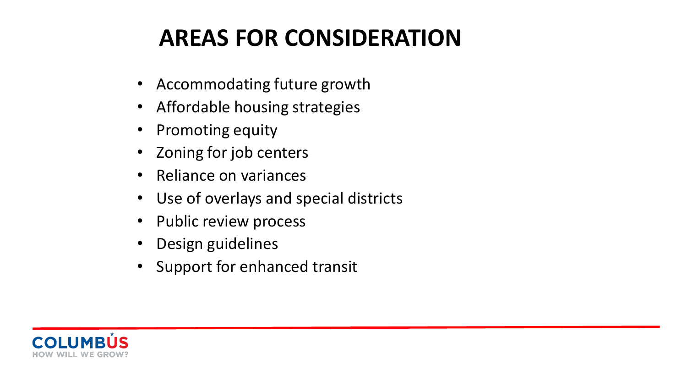# **AREAS FOR CONSIDERATION**

- Accommodating future growth
- Affordable housing strategies
- Promoting equity
- Zoning for job centers
- Reliance on variances
- Use of overlays and special districts
- Public review process
- Design guidelines
- Support for enhanced transit

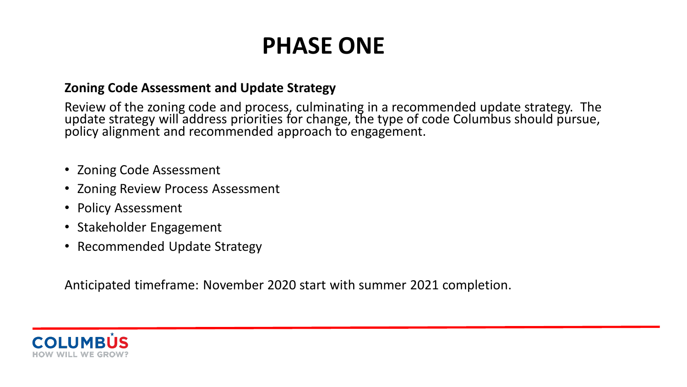## **PHASE ONE**

#### **Zoning Code Assessment and Update Strategy**

Review of the zoning code and process, culminating in a recommended update strategy. The update strategy will address priorities for change, the type of code Columbus should pursue, policy alignment and recommended approach to engagement.

- Zoning Code Assessment
- Zoning Review Process Assessment
- Policy Assessment
- Stakeholder Engagement
- Recommended Update Strategy

Anticipated timeframe: November 2020 start with summer 2021 completion.

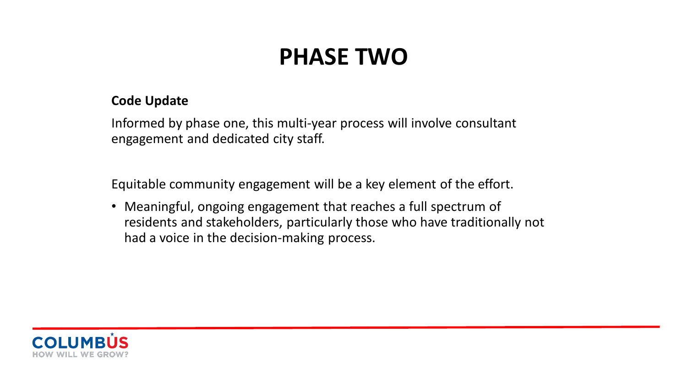## **PHASE TWO**

#### **Code Update**

Informed by phase one, this multi-year process will involve consultant engagement and dedicated city staff.

Equitable community engagement will be a key element of the effort.

• Meaningful, ongoing engagement that reaches a full spectrum of residents and stakeholders, particularly those who have traditionally not had a voice in the decision-making process.